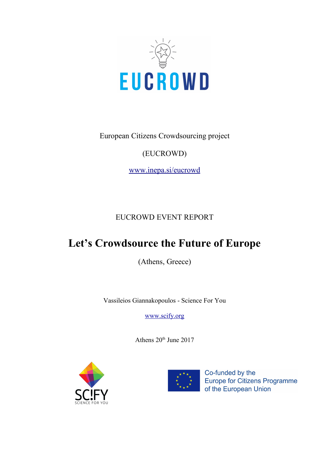

European Citizens Crowdsourcing project

### (EUCROWD)

[www.inepa.si/eucrowd](http://www.inepa.si/eucrowd)

### EUCROWD EVENT REPORT

# **Let's Crowdsource the Future of Europe**

(Athens, Greece)

Vassileios Giannakopoulos - Science For You

[www.scify.org](http://www.scify.org/)

Athens  $20<sup>th</sup>$  June  $2017$ 





Co-funded by the Europe for Citizens Programme of the European Union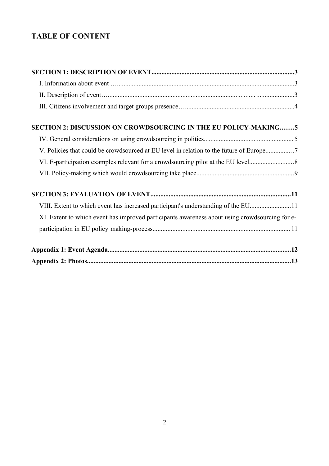### **TABLE OF CONTENT**

| SECTION 2: DISCUSSION ON CROWDSOURCING IN THE EU POLICY-MAKING5                                |  |
|------------------------------------------------------------------------------------------------|--|
|                                                                                                |  |
| V. Policies that could be crowdsourced at EU level in relation to the future of Europe         |  |
|                                                                                                |  |
|                                                                                                |  |
|                                                                                                |  |
| VIII. Extent to which event has increased participant's understanding of the EU11              |  |
| XI. Extent to which event has improved participants awareness about using crowdsourcing for e- |  |
|                                                                                                |  |
|                                                                                                |  |
|                                                                                                |  |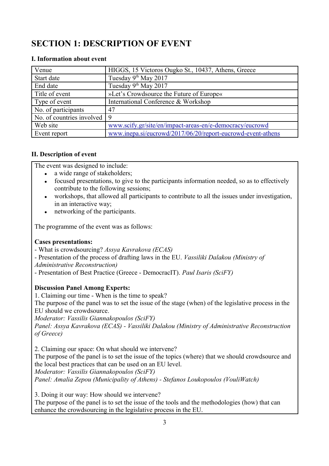## **SECTION 1: DESCRIPTION OF EVENT**

#### **I. Information about event**

| Venue                                       | HIGGS, 15 Victoros Ougko St., 10437, Athens, Greece         |
|---------------------------------------------|-------------------------------------------------------------|
| Start date                                  | Tuesday 9 <sup>th</sup> May 2017                            |
| End date                                    | Tuesday 9 <sup>th</sup> May 2017                            |
| Title of event                              | »Let's Crowdsource the Future of Europe«                    |
| Type of event                               | International Conference & Workshop                         |
| No. of participants                         | 47                                                          |
| No. of countries involved $\vert 9 \rangle$ |                                                             |
| Web site                                    | www.scify.gr/site/en/impact-areas-en/e-democracy/eucrowd    |
| Event report                                | www.inepa.si/eucrowd/2017/06/20/report-eucrowd-event-athens |

#### **II. Description of event**

The event was designed to include:

- a wide range of stakeholders;
- focused presentations, to give to the participants information needed, so as to effectively contribute to the following sessions;
- workshops, that allowed all participants to contribute to all the issues under investigation, in an interactive way;
- networking of the participants.

The programme of the event was as follows:

#### **Cases presentations:**

- What is crowdsourcing? *Assya Kavrakova (ECAS)*

- Presentation of the process of drafting laws in the EU. *Vassiliki Dalakou (Ministry of* 

*Administrative Reconstruction)*

- Presentation of Best Practice (Greece - DemocracIT). *Paul Isaris (SciFY)*

#### **Discussion Panel Among Experts:**

1. Claiming our time - When is the time to speak?

The purpose of the panel was to set the issue of the stage (when) of the legislative process in the EU should we crowdsource.

*Moderator: Vassilis Giannakopoulos (SciFY)*

*Panel: Assya Kavrakova (ECAS) - Vassiliki Dalakou (Ministry of Administrative Reconstruction of Greece)*

2. Claiming our space: On what should we intervene?

The purpose of the panel is to set the issue of the topics (where) that we should crowdsource and the local best practices that can be used on an EU level.

*Moderator: Vassilis Giannakopoulos (SciFY)*

*Panel: Amalia Zepou (Municipality of Athens) - Stefanos Loukopoulos (VouliWatch)*

3. Doing it our way: How should we intervene?

The purpose of the panel is to set the issue of the tools and the methodologies (how) that can enhance the crowdsourcing in the legislative process in the EU.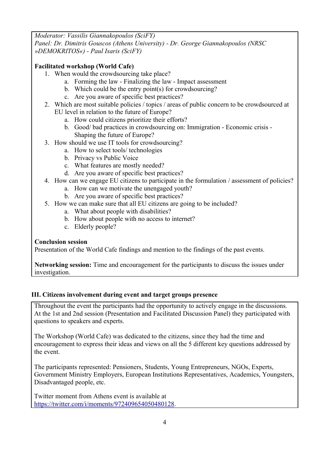*Moderator: Vassilis Giannakopoulos (SciFY) Panel: Dr. Dimitris Gouscos (Athens University) - Dr. George Giannakopoulos (NRSC »DEMOKRITOS«) - Paul Isaris (SciFY)*

#### **Facilitated workshop (World Cafe)**

- 1. When would the crowdsourcing take place?
	- a. Forming the law Finalizing the law Impact assessment
	- b. Which could be the entry point(s) for crowdsourcing?
	- c. Are you aware of specific best practices?
- 2. Which are most suitable policies / topics / areas of public concern to be crowdsourced at EU level in relation to the future of Europe?
	- a. How could citizens prioritize their efforts?
	- b. Good/ bad practices in crowdsourcing on: Immigration Economic crisis Shaping the future of Europe?
- 3. How should we use IT tools for crowdsourcing?
	- a. How to select tools/ technologies
	- b. Privacy vs Public Voice
	- c. What features are mostly needed?
	- d. Are you aware of specific best practices?
- 4. How can we engage EU citizens to participate in the formulation / assessment of policies?
	- a. How can we motivate the unengaged youth?
		- b. Are you aware of specific best practices?
- 5. How we can make sure that all EU citizens are going to be included?
	- a. What about people with disabilities?
	- b. How about people with no access to internet?
	- c. Elderly people?

#### **Conclusion session**

Presentation of the World Cafe findings and mention to the findings of the past events.

**Networking session:** Time and encouragement for the participants to discuss the issues under investigation.

#### **III. Citizens involvement during event and target groups presence**

Throughout the event the participants had the opportunity to actively engage in the discussions. At the 1st and 2nd session (Presentation and Facilitated Discussion Panel) they participated with questions to speakers and experts.

The Workshop (World Cafe) was dedicated to the citizens, since they had the time and encouragement to express their ideas and views on all the 5 different key questions addressed by the event.

The participants represented: Pensioners, Students, Young Entrepreneurs, NGOs, Experts, Government Ministry Employers, European Institutions Representatives, Academics, Youngsters, Disadvantaged people, etc.

Twitter moment from Athens event is available at [https://twitter.com/i/moments/972409654050480128.](https://twitter.com/i/moments/972409654050480128)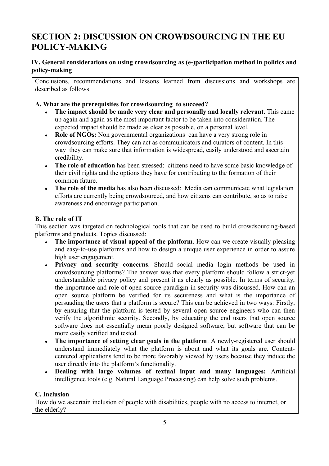### **SECTION 2: DISCUSSION ON CROWDSOURCING IN THE EU POLICY-MAKING**

### **IV. General considerations on using crowdsourcing as (e-)participation method in politics and policy-making**

Conclusions, recommendations and lessons learned from discussions and workshops are described as follows.

#### **A. What are the prerequisites for crowdsourcing to succeed?**

- **The impact should be made very clear and personally and locally relevant.** This came up again and again as the most important factor to be taken into consideration. The expected impact should be made as clear as possible, on a personal level.
- **Role of NGOs:** Non governmental organizations can have a very strong role in crowdsourcing efforts. They can act as communicators and curators of content. In this way they can make sure that information is widespread, easily understood and ascertain credibility.
- The role of education has been stressed: citizens need to have some basic knowledge of their civil rights and the options they have for contributing to the formation of their common future.
- **The role of the media** has also been discussed: Media can communicate what legislation efforts are currently being crowdsourced, and how citizens can contribute, so as to raise awareness and encourage participation.

### **B. The role of IT**

This section was targeted on technological tools that can be used to build crowdsourcing-based platforms and products. Topics discussed:

- **The importance of visual appeal of the platform**. How can we create visually pleasing and easy-to-use platforms and how to design a unique user experience in order to assure high user engagement.
- **Privacy and security concerns**. Should social media login methods be used in crowdsourcing platforms? The answer was that every platform should follow a strict-yet understandable privacy policy and present it as clearly as possible. In terms of security, the importance and role of open source paradigm in security was discussed. How can an open source platform be verified for its secureness and what is the importance of persuading the users that a platform is secure? This can be achieved in two ways: Firstly, by ensuring that the platform is tested by several open source engineers who can then verify the algorithmic security. Secondly, by educating the end users that open source software does not essentially mean poorly designed software, but software that can be more easily verified and tested.
- **The importance of setting clear goals in the platform**. A newly-registered user should understand immediately what the platform is about and what its goals are. Contentcentered applications tend to be more favorably viewed by users because they induce the user directly into the platform's functionality.
- **Dealing with large volumes of textual input and many languages:** Artificial intelligence tools (e.g. Natural Language Processing) can help solve such problems.

### **C. Inclusion**

How do we ascertain inclusion of people with disabilities, people with no access to internet, or the elderly?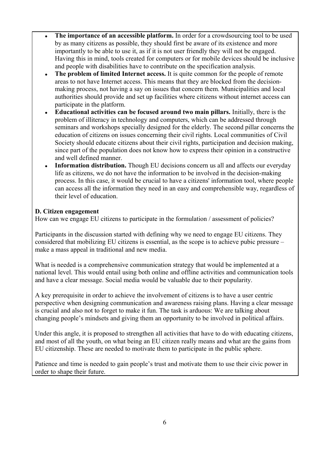- **The importance of an accessible platform.** In order for a crowdsourcing tool to be used by as many citizens as possible, they should first be aware of its existence and more importantly to be able to use it, as if it is not user friendly they will not be engaged. Having this in mind, tools created for computers or for mobile devices should be inclusive and people with disabilities have to contribute on the specification analysis.
- **The problem of limited Internet access.** It is quite common for the people of remote areas to not have Internet access. This means that they are blocked from the decisionmaking process, not having a say on issues that concern them. Municipalities and local authorities should provide and set up facilities where citizens without internet access can participate in the platform.
- **Educational activities can be focused around two main pillars.** Initially, there is the problem of illiteracy in technology and computers, which can be addressed through seminars and workshops specially designed for the elderly. The second pillar concerns the education of citizens on issues concerning their civil rights. Local communities of Civil Society should educate citizens about their civil rights, participation and decision making, since part of the population does not know how to express their opinion in a constructive and well defined manner.
- **Information distribution.** Though EU decisions concern us all and affects our everyday life as citizens, we do not have the information to be involved in the decision-making process. In this case, it would be crucial to have a citizens' information tool, where people can access all the information they need in an easy and comprehensible way, regardless of their level of education.

#### **D. Citizen engagement**

How can we engage EU citizens to participate in the formulation / assessment of policies?

Participants in the discussion started with defining why we need to engage EU citizens. They considered that mobilizing EU citizens is essential, as the scope is to achieve pubic pressure – make a mass appeal in traditional and new media.

What is needed is a comprehensive communication strategy that would be implemented at a national level. This would entail using both online and offline activities and communication tools and have a clear message. Social media would be valuable due to their popularity.

A key prerequisite in order to achieve the involvement of citizens is to have a user centric perspective when designing communication and awareness raising plans. Having a clear message is crucial and also not to forget to make it fun. The task is arduous: We are talking about changing people's mindsets and giving them an opportunity to be involved in political affairs.

Under this angle, it is proposed to strengthen all activities that have to do with educating citizens, and most of all the youth, on what being an EU citizen really means and what are the gains from EU citizenship. These are needed to motivate them to participate in the public sphere.

Patience and time is needed to gain people's trust and motivate them to use their civic power in order to shape their future.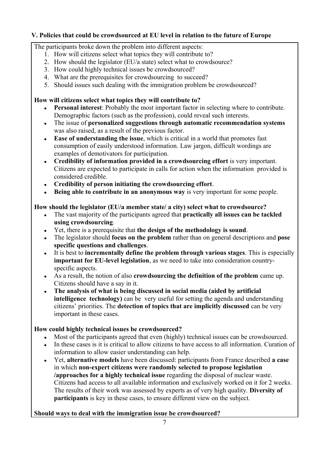#### **V. Policies that could be crowdsourced at EU level in relation to the future of Europe**

The participants broke down the problem into different aspects:

- 1. How will citizens select what topics they will contribute to?
- 2. How should the legislator (EU/a state) select what to crowdsource?
- 3. How could highly technical issues be crowdsourced?
- 4. What are the prerequisites for crowdsourcing to succeed?
- 5. Should issues such dealing with the immigration problem be crowdsourced?

#### **How will citizens select what topics they will contribute to?**

- **Personal interest**: Probably the most important factor in selecting where to contribute. Demographic factors (such as the profession), could reveal such interests.
- The issue of **personalized suggestions through automatic recommendation systems**  was also raised, as a result of the previous factor.
- **Ease of understanding the issue**, which is critical in a world that promotes fast consumption of easily understood information. Law jargon, difficult wordings are examples of demotivators for participation.
- **Credibility of information provided in a crowdsourcing effort** is very important. Citizens are expected to participate in calls for action when the information provided is considered credible.
- **Credibility of person initiating the crowdsourcing effort**.
- **Being able to contribute in an anonymous way** is very important for some people.

#### **How should the legislator (EU/a member state/ a city) select what to crowdsource?**

- The vast majority of the participants agreed that **practically all issues can be tackled using crowdsourcing**.
- Yet, there is a prerequisite that **the design of the methodology is sound**.
- The legislator should **focus on the problem** rather than on general descriptions and **pose specific questions and challenges**.
- It is best to **incrementally define the problem through various stages**. This is especially **important for EU-level legislation**, as we need to take into consideration countryspecific aspects.
- As a result, the notion of also **crowdsourcing the definition of the problem** came up. Citizens should have a say in it.
- **The analysis of what is being discussed in social media (aided by artificial intelligence technology)** can be very useful for setting the agenda and understanding citizens' priorities. The **detection of topics that are implicitly discussed** can be very important in these cases.

### **How could highly technical issues be crowdsourced?**

- Most of the participants agreed that even (highly) technical issues can be crowdsourced.
- In these cases is it is critical to allow citizens to have access to all information. Curation of information to allow easier understanding can help.
- Yet, **alternative models** have been discussed: participants from France described **a case**  in which **non-expert citizens were randomly selected to propose legislation /approaches for a highly technical issue** regarding the disposal of nuclear waste. Citizens had access to all available information and exclusively worked on it for 2 weeks. The results of their work was assessed by experts as of very high quality. **Diversity of participants** is key in these cases, to ensure different view on the subject.

### **Should ways to deal with the immigration issue be crowdsourced?**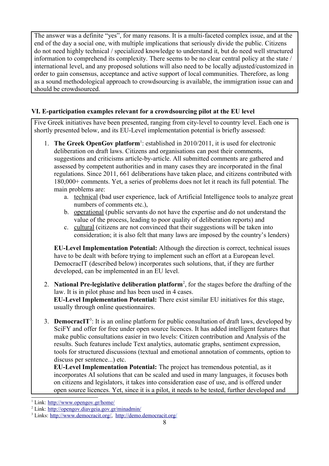The answer was a definite "yes", for many reasons. It is a multi-faceted complex issue, and at the end of the day a social one, with multiple implications that seriously divide the public. Citizens do not need highly technical / specialized knowledge to understand it, but do need well structured information to comprehend its complexity. There seems to be no clear central policy at the state / international level, and any proposed solutions will also need to be locally adjusted/customized in order to gain consensus, acceptance and active support of local communities. Therefore, as long as a sound methodological approach to crowdsourcing is available, the immigration issue can and should be crowdsourced.

#### **VI. E-participation examples relevant for a crowdsourcing pilot at the EU level**

Five Greek initiatives have been presented, ranging from city-level to country level. Each one is shortly presented below, and its EU-Level implementation potential is briefly assessed:

- [1](#page-7-0). **The Greek OpenGov platform**<sup>1</sup>: established in 2010/2011, it is used for electronic deliberation on draft laws. Citizens and organisations can post their comments, suggestions and criticisms article-by-article. All submitted comments are gathered and assessed by competent authorities and in many cases they are incorporated in the final regulations. Since 2011, 661 deliberations have taken place, and citizens contributed with 180,000+ comments. Yet, a series of problems does not let it reach its full potential. The main problems are:
	- a. technical (bad user experience, lack of Artificial Intelligence tools to analyze great numbers of comments etc.),
	- b. operational (public servants do not have the expertise and do not understand the value of the process, leading to poor quality of deliberation reports) and
	- c. cultural (citizens are not convinced that their suggestions will be taken into consideration; it is also felt that many laws are imposed by the country's lenders)

**EU-Level Implementation Potential:** Although the direction is correct, technical issues have to be dealt with before trying to implement such an effort at a European level. DemocracIT (described below) incorporates such solutions, that, if they are further developed, can be implemented in an EU level.

- 2. **National Pre-legislative deliberation platform**[2](#page-7-1) , for the stages before the drafting of the law. It is in pilot phase and has been used in 4 cases. **EU-Level Implementation Potential:** There exist similar EU initiatives for this stage, usually through online questionnaires.
- 3. **DemocracIT**[3](#page-7-2) : It is an online platform for public consultation of draft laws, developed by SciFY and offer for free under open source licences. It has added intelligent features that make public consultations easier in two levels: Citizen contribution and Analysis of the results. Such features include Text analytics, automatic graphs, sentiment expression, tools for structured discussions (textual and emotional annotation of comments, option to discuss per sentence...) etc.

**EU-Level Implementation Potential:** The project has tremendous potential, as it incorporates AI solutions that can be scaled and used in many languages, it focuses both on citizens and legislators, it takes into consideration ease of use, and is offered under open source licences. Yet, since it is a pilot, it needs to be tested, further developed and

<span id="page-7-0"></span>Link:<http://www.opengov.gr/home/>

<span id="page-7-1"></span><sup>2</sup> Link:<http://opengov.diavgeia.gov.gr/minadmin/>

<span id="page-7-2"></span><sup>&</sup>lt;sup>3</sup> Links: [http://www.democracit.org/,](http://www.democracit.org/) <http://demo.democracit.org/>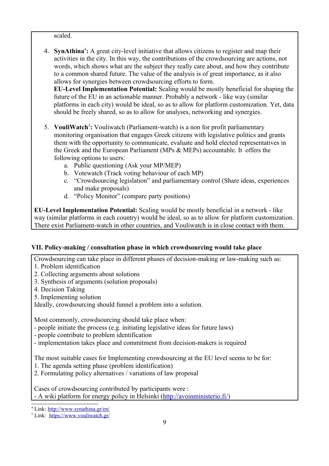scaled.

4. **SynAthina**[4](#page-8-0) **:** A great city-level initiative that allows citizens to register and map their activities in the city. In this way, the contributions of the crowdsourcing are actions, not words, which shows what are the subject they really care about, and how they contribute to a common shared future. The value of the analysis is of great importance, as it also allows for synergies between crowdsourcing efforts to form.

**EU-Level Implementation Potential:** Scaling would be mostly beneficial for shaping the future of the EU in an actionable manner. Probably a network - like way (similar platforms in each city) would be ideal, so as to allow for platform customization. Yet, data should be freely shared, so as to allow for analyses, networking and synergies.

- [5](#page-8-1). VouliWatch<sup>5</sup>: Vouliwatch (Parliament-watch) is a non for profit parliamentary monitoring organisation that engages Greek citizens with legislative politics and grants them with the opportunity to communicate, evaluate and hold elected representatives in the Greek and the European Parliament (MPs & MEPs) accountable. It offers the following options to users:
	- a. Public questioning (Ask your MP/MEP)
	- b. Votewatch (Track voting behaviour of each MP)
	- c. "Crowdsourcing legislation" and parliamentary control (Share ideas, experiences and make proposals)
	- d. "Policy Monitor" (compare party positions)

**EU-Level Implementation Potential:** Scaling would be mostly beneficial in a network - like way (similar platforms in each country) would be ideal, so as to allow for platform customization. There exist Parliament-watch in other countries, and Vouliwatch is in close contact with them.

### **VII. Policy-making / consultation phase in which crowdsourcing would take place**

Crowdsourcing can take place in different phases of decision-making or law-making such as:

- 1. Problem identification
- 2. Collecting arguments about solutions
- 3. Synthesis of arguments (solution proposals)
- 4. Decision Taking
- 5. Implementing solution

Ideally, crowdsourcing should funnel a problem into a solution.

Most commonly, crowdsourcing should take place when:

- people initiate the process (e.g. initiating legislative ideas for future laws)
- people contribute to problem identification
- implementation takes place and commitment from decision-makers is required

The most suitable cases for Implementing crowdsourcing at the EU level seems to be for:

- 1. The agenda setting phase (problem identification)
- 2. Formulating policy alternatives / variations of law proposal

Cases of crowdsourcing contributed by participants were : - A wiki platform for energy policy in Helsinki [\( http://avoinministerio.fi/\)](http://avoinministerio.fi/)

<span id="page-8-0"></span><sup>4</sup> Link:<http://www.synathina.gr/en/>

<span id="page-8-1"></span><sup>5</sup> Link: <https://www.vouliwatch.gr/>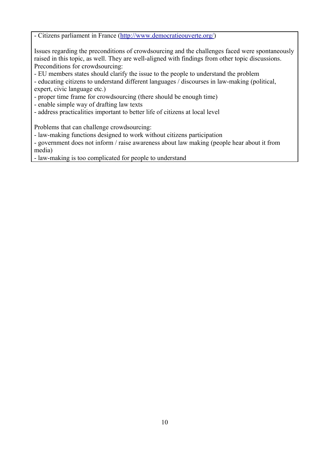- Citizens parliament in France [\(http://www.democratieouverte.org/\)](http://www.democratieouverte.org/)

Issues regarding the preconditions of crowdsourcing and the challenges faced were spontaneously raised in this topic, as well. They are well-aligned with findings from other topic discussions. Preconditions for crowdsourcing:

- EU members states should clarify the issue to the people to understand the problem

- educating citizens to understand different languages / discourses in law-making (political, expert, civic language etc.)
- proper time frame for crowdsourcing (there should be enough time)
- enable simple way of drafting law texts
- address practicalities important to better life of citizens at local level

Problems that can challenge crowdsourcing:

- law-making functions designed to work without citizens participation

- government does not inform / raise awareness about law making (people hear about it from media)

- law-making is too complicated for people to understand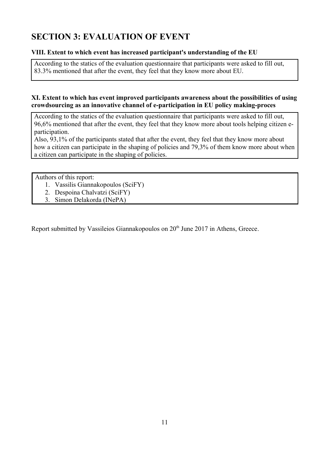# **SECTION 3: EVALUATION OF EVENT**

#### **VIII. Extent to which event has increased participant's understanding of the EU**

According to the statics of the evaluation questionnaire that participants were asked to fill out, 83.3% mentioned that after the event, they feel that they know more about EU.

#### **XI. Extent to which has event improved participants awareness about the possibilities of using crowdsourcing as an innovative channel of e-participation in EU policy making-proces**

According to the statics of the evaluation questionnaire that participants were asked to fill out, 96,6% mentioned that after the event, they feel that they know more about tools helping citizen eparticipation.

Also, 93,1% of the participants stated that after the event, they feel that they know more about how a citizen can participate in the shaping of policies and 79,3% of them know more about when a citizen can participate in the shaping of policies.

Authors of this report:

- 1. Vassilis Giannakopoulos (SciFY)
- 2. Despoina Chalvatzi (SciFY)
- 3. Simon Delakorda (INePA)

Report submitted by Vassileios Giannakopoulos on 20<sup>th</sup> June 2017 in Athens, Greece.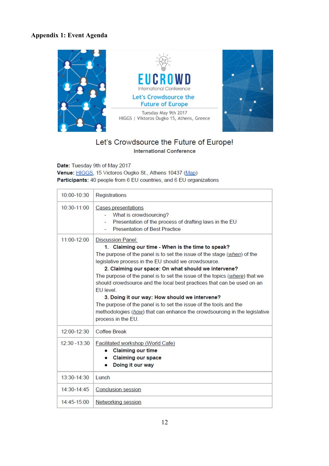### **Appendix 1: Event Agenda**



#### Let's Crowdsource the Future of Europe! **International Conference**

Date: Tuesday 9th of May 2017 Venue: HIGGS, 15 Victoros Ougko St., Athens 10437 (Map) Participants: 40 people from 6 EU countries, and 6 EU organizations

| $10:00 - 10:30$ | Registrations                                                                                                                                                                                                                                                                                                                                                                                                                                                                                                                                                                                                                                                               |
|-----------------|-----------------------------------------------------------------------------------------------------------------------------------------------------------------------------------------------------------------------------------------------------------------------------------------------------------------------------------------------------------------------------------------------------------------------------------------------------------------------------------------------------------------------------------------------------------------------------------------------------------------------------------------------------------------------------|
| $10:30-11:00$   | <b>Cases presentations</b><br>What is crowdsourcing?<br>Presentation of the process of drafting laws in the EU<br>$\overline{\phantom{a}}$<br><b>Presentation of Best Practice</b>                                                                                                                                                                                                                                                                                                                                                                                                                                                                                          |
| 11:00-12:00     | <b>Discussion Panel:</b><br>1. Claiming our time - When is the time to speak?<br>The purpose of the panel is to set the issue of the stage (when) of the<br>legislative process in the EU should we crowdsource.<br>2. Claiming our space: On what should we intervene?<br>The purpose of the panel is to set the issue of the topics (where) that we<br>should crowdsource and the local best practices that can be used on an<br><b>FU</b> level<br>3. Doing it our way: How should we intervene?<br>The purpose of the panel is to set the issue of the tools and the<br>methodologies (how) that can enhance the crowdsourcing in the legislative<br>process in the EU. |
| $12:00-12:30$   | Coffee Break                                                                                                                                                                                                                                                                                                                                                                                                                                                                                                                                                                                                                                                                |
| $12:30 - 13:30$ | Facilitated workshop (World Cafe)<br><b>Claiming our time</b><br><b>Claiming our space</b><br>Doing it our way                                                                                                                                                                                                                                                                                                                                                                                                                                                                                                                                                              |
| $13:30-14:30$   | <b>Lunch</b>                                                                                                                                                                                                                                                                                                                                                                                                                                                                                                                                                                                                                                                                |
| $14:30-14:45$   | <b>Conclusion session</b>                                                                                                                                                                                                                                                                                                                                                                                                                                                                                                                                                                                                                                                   |
| 14:45-15:00     | Networking session                                                                                                                                                                                                                                                                                                                                                                                                                                                                                                                                                                                                                                                          |